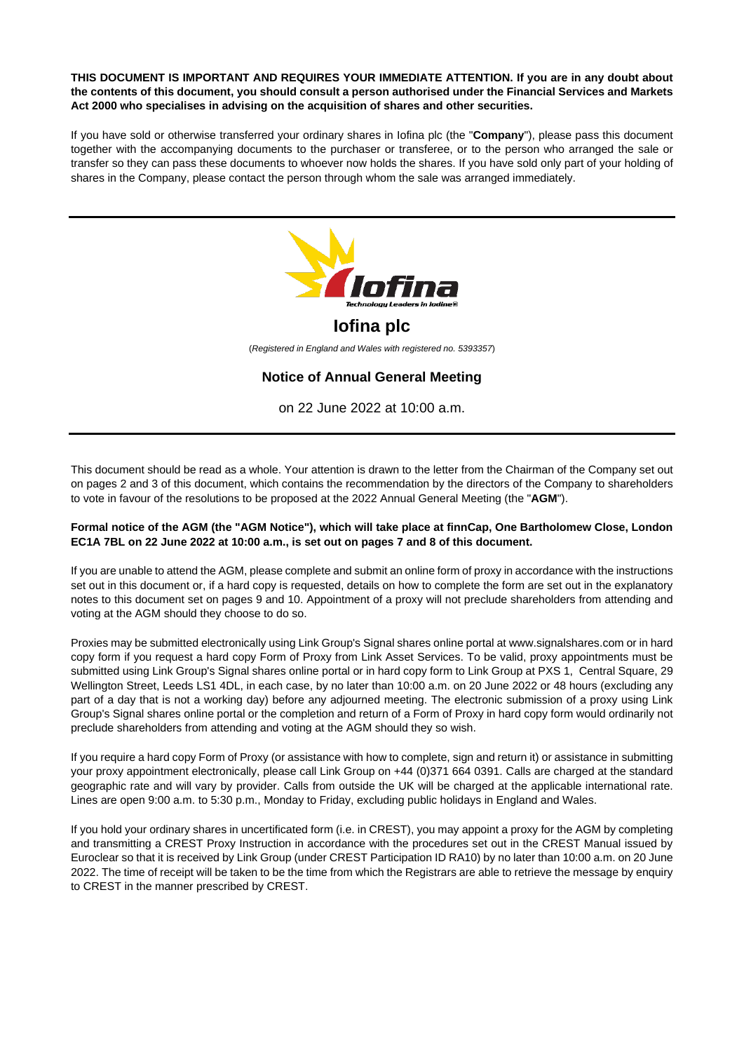#### **THIS DOCUMENT IS IMPORTANT AND REQUIRES YOUR IMMEDIATE ATTENTION. If you are in any doubt about the contents of this document, you should consult a person authorised under the Financial Services and Markets Act 2000 who specialises in advising on the acquisition of shares and other securities.**

If you have sold or otherwise transferred your ordinary shares in Iofina plc (the "**Company**"), please pass this document together with the accompanying documents to the purchaser or transferee, or to the person who arranged the sale or transfer so they can pass these documents to whoever now holds the shares. If you have sold only part of your holding of shares in the Company, please contact the person through whom the sale was arranged immediately.



This document should be read as a whole. Your attention is drawn to the letter from the Chairman of the Company set out on pages 2 and 3 of this document, which contains the recommendation by the directors of the Company to shareholders to vote in favour of the resolutions to be proposed at the 2022 Annual General Meeting (the "**AGM**").

## **Formal notice of the AGM (the "AGM Notice"), which will take place at finnCap, One Bartholomew Close, London EC1A 7BL on 22 June 2022 at 10:00 a.m., is set out on pages 7 and 8 of this document.**

If you are unable to attend the AGM, please complete and submit an online form of proxy in accordance with the instructions set out in this document or, if a hard copy is requested, details on how to complete the form are set out in the explanatory notes to this document set on pages 9 and 10. Appointment of a proxy will not preclude shareholders from attending and voting at the AGM should they choose to do so.

Proxies may be submitted electronically using Link Group's Signal shares online portal a[t www.signalshares.com](https://www.signalshares.com/) or in hard copy form if you request a hard copy Form of Proxy from Link Asset Services. To be valid, proxy appointments must be submitted using Link Group's Signal shares online portal or in hard copy form to Link Group at PXS 1, Central Square, 29 Wellington Street, Leeds LS1 4DL, in each case, by no later than 10:00 a.m. on 20 June 2022 or 48 hours (excluding any part of a day that is not a working day) before any adjourned meeting. The electronic submission of a proxy using Link Group's Signal shares online portal or the completion and return of a Form of Proxy in hard copy form would ordinarily not preclude shareholders from attending and voting at the AGM should they so wish.

If you require a hard copy Form of Proxy (or assistance with how to complete, sign and return it) or assistance in submitting your proxy appointment electronically, please call Link Group on +44 (0)371 664 0391. Calls are charged at the standard geographic rate and will vary by provider. Calls from outside the UK will be charged at the applicable international rate. Lines are open 9:00 a.m. to 5:30 p.m., Monday to Friday, excluding public holidays in England and Wales.

If you hold your ordinary shares in uncertificated form (i.e. in CREST), you may appoint a proxy for the AGM by completing and transmitting a CREST Proxy Instruction in accordance with the procedures set out in the CREST Manual issued by Euroclear so that it is received by Link Group (under CREST Participation ID RA10) by no later than 10:00 a.m. on 20 June 2022. The time of receipt will be taken to be the time from which the Registrars are able to retrieve the message by enquiry to CREST in the manner prescribed by CREST.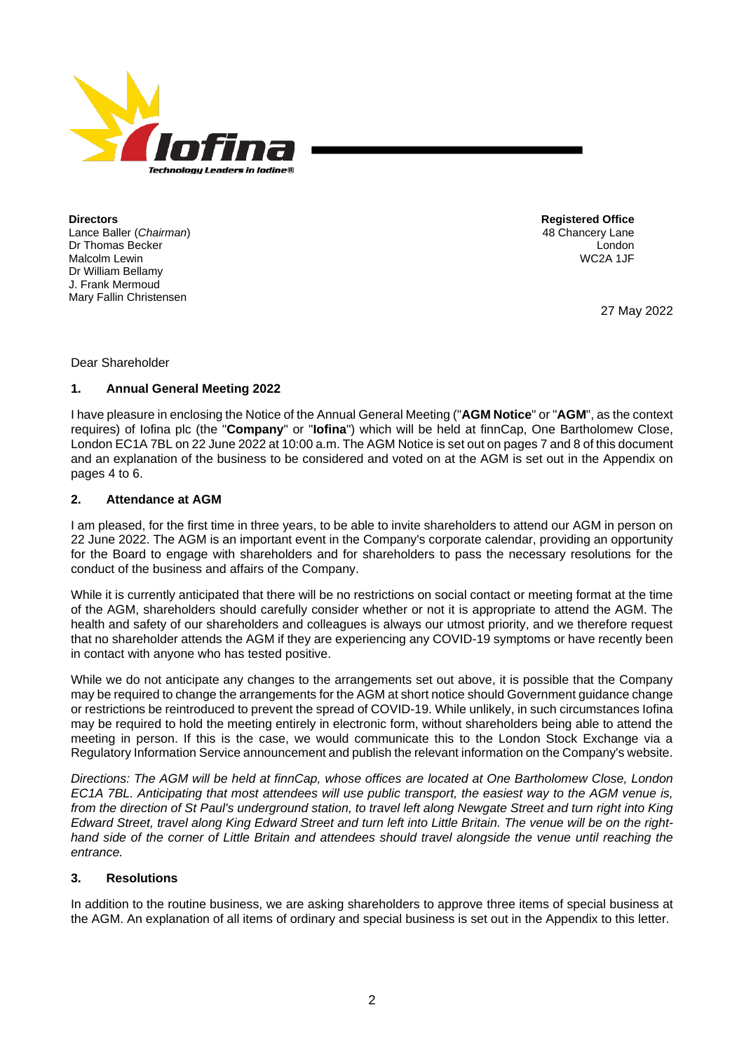

**Directors** Lance Baller (*Chairman*) Dr Thomas Becker Malcolm Lewin Dr William Bellamy J. Frank Mermoud Mary Fallin Christensen

**Registered Office** 48 Chancery Lane London WC2A 1JF

27 May 2022

Dear Shareholder

## **1. Annual General Meeting 2022**

I have pleasure in enclosing the Notice of the Annual General Meeting ("**AGM Notice**" or "**AGM**", as the context requires) of Iofina plc (the "**Company**" or "**Iofina**") which will be held at finnCap, One Bartholomew Close, London EC1A 7BL on 22 June 2022 at 10:00 a.m. The AGM Notice is set out on pages 7 and 8 of this document and an explanation of the business to be considered and voted on at the AGM is set out in the Appendix on pages 4 to 6.

## **2. Attendance at AGM**

I am pleased, for the first time in three years, to be able to invite shareholders to attend our AGM in person on 22 June 2022. The AGM is an important event in the Company's corporate calendar, providing an opportunity for the Board to engage with shareholders and for shareholders to pass the necessary resolutions for the conduct of the business and affairs of the Company.

While it is currently anticipated that there will be no restrictions on social contact or meeting format at the time of the AGM, shareholders should carefully consider whether or not it is appropriate to attend the AGM. The health and safety of our shareholders and colleagues is always our utmost priority, and we therefore request that no shareholder attends the AGM if they are experiencing any COVID-19 symptoms or have recently been in contact with anyone who has tested positive.

While we do not anticipate any changes to the arrangements set out above, it is possible that the Company may be required to change the arrangements for the AGM at short notice should Government guidance change or restrictions be reintroduced to prevent the spread of COVID-19. While unlikely, in such circumstances Iofina may be required to hold the meeting entirely in electronic form, without shareholders being able to attend the meeting in person. If this is the case, we would communicate this to the London Stock Exchange via a Regulatory Information Service announcement and publish the relevant information on the Company's website.

*Directions: The AGM will be held at finnCap, whose offices are located at One Bartholomew Close, London EC1A 7BL. Anticipating that most attendees will use public transport, the easiest way to the AGM venue is, from the direction of St Paul's underground station, to travel left along Newgate Street and turn right into King Edward Street, travel along King Edward Street and turn left into Little Britain. The venue will be on the righthand side of the corner of Little Britain and attendees should travel alongside the venue until reaching the entrance.*

# **3. Resolutions**

In addition to the routine business, we are asking shareholders to approve three items of special business at the AGM. An explanation of all items of ordinary and special business is set out in the Appendix to this letter.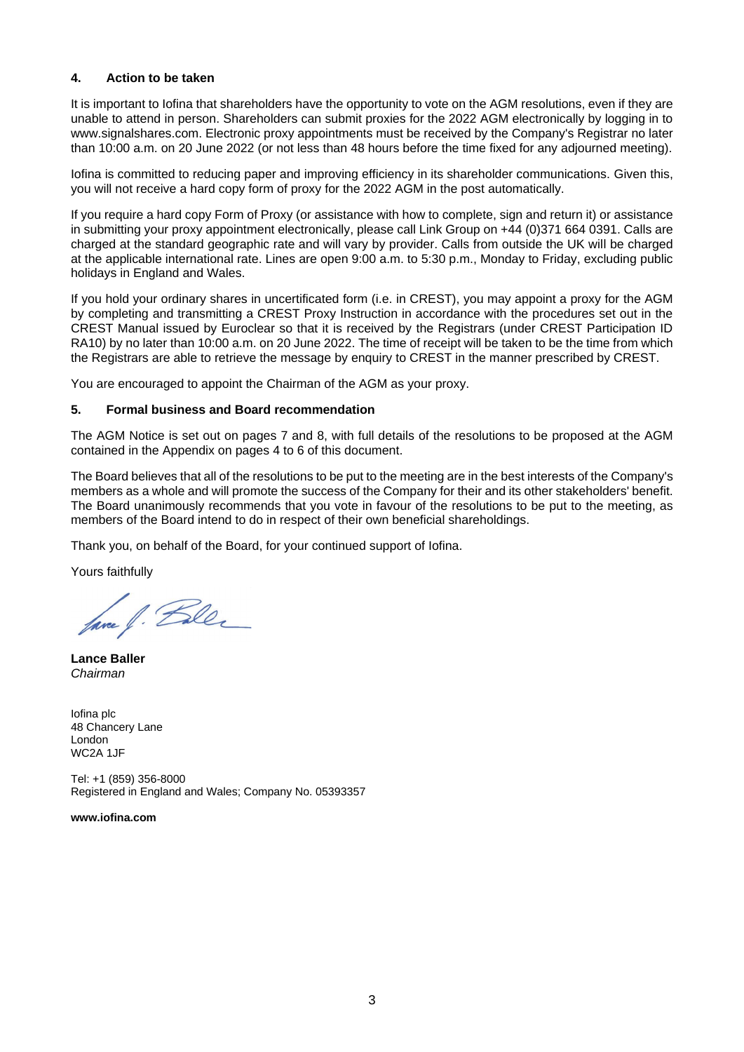# **4. Action to be taken**

It is important to Iofina that shareholders have the opportunity to vote on the AGM resolutions, even if they are unable to attend in person. Shareholders can submit proxies for the 2022 AGM electronically by logging in to [www.signalshares.com.](https://www.signalshares.com/) Electronic proxy appointments must be received by the Company's Registrar no later than 10:00 a.m. on 20 June 2022 (or not less than 48 hours before the time fixed for any adjourned meeting).

Iofina is committed to reducing paper and improving efficiency in its shareholder communications. Given this, you will not receive a hard copy form of proxy for the 2022 AGM in the post automatically.

If you require a hard copy Form of Proxy (or assistance with how to complete, sign and return it) or assistance in submitting your proxy appointment electronically, please call Link Group on +44 (0)371 664 0391. Calls are charged at the standard geographic rate and will vary by provider. Calls from outside the UK will be charged at the applicable international rate. Lines are open 9:00 a.m. to 5:30 p.m., Monday to Friday, excluding public holidays in England and Wales.

If you hold your ordinary shares in uncertificated form (i.e. in CREST), you may appoint a proxy for the AGM by completing and transmitting a CREST Proxy Instruction in accordance with the procedures set out in the CREST Manual issued by Euroclear so that it is received by the Registrars (under CREST Participation ID RA10) by no later than 10:00 a.m. on 20 June 2022. The time of receipt will be taken to be the time from which the Registrars are able to retrieve the message by enquiry to CREST in the manner prescribed by CREST.

You are encouraged to appoint the Chairman of the AGM as your proxy.

## **5. Formal business and Board recommendation**

The AGM Notice is set out on pages 7 and 8, with full details of the resolutions to be proposed at the AGM contained in the Appendix on pages 4 to 6 of this document.

The Board believes that all of the resolutions to be put to the meeting are in the best interests of the Company's members as a whole and will promote the success of the Company for their and its other stakeholders' benefit. The Board unanimously recommends that you vote in favour of the resolutions to be put to the meeting, as members of the Board intend to do in respect of their own beneficial shareholdings.

Thank you, on behalf of the Board, for your continued support of Iofina.

Yours faithfully

fave f. Bler

**Lance Baller** *Chairman*

Iofina plc 48 Chancery Lane London WC2A 1JF

Tel: +1 (859) 356-8000 Registered in England and Wales; Company No. 05393357

**[www.iofina.com](https://iofina.com/)**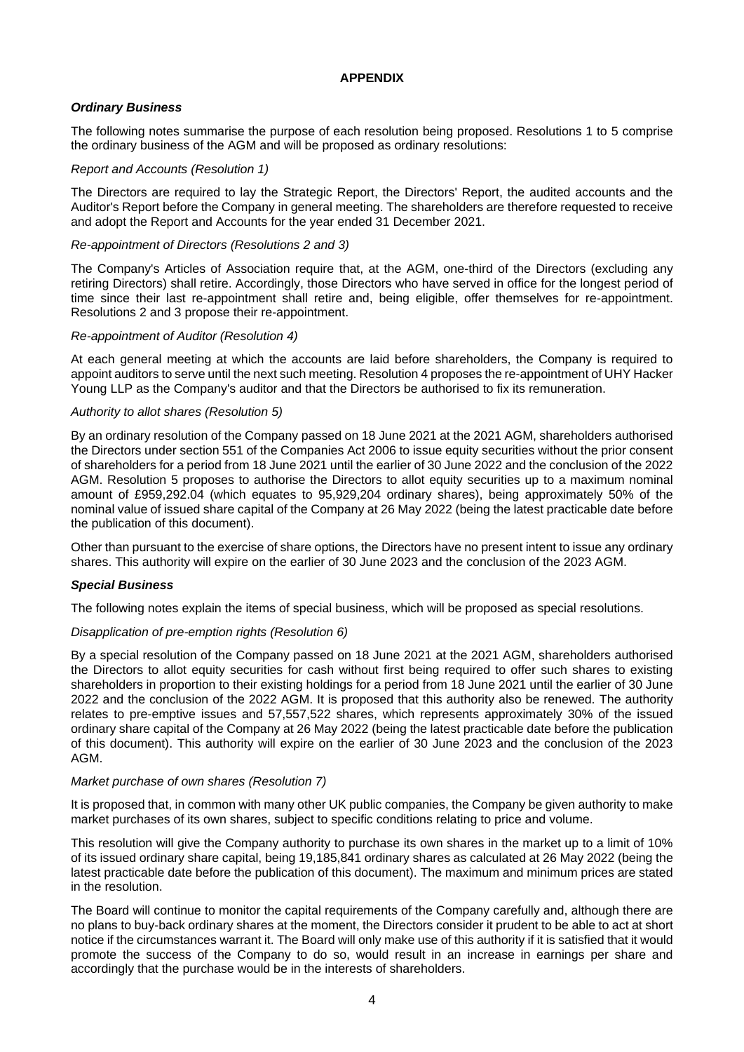# **APPENDIX**

# *Ordinary Business*

The following notes summarise the purpose of each resolution being proposed. Resolutions 1 to 5 comprise the ordinary business of the AGM and will be proposed as ordinary resolutions:

## *Report and Accounts (Resolution 1)*

The Directors are required to lay the Strategic Report, the Directors' Report, the audited accounts and the Auditor's Report before the Company in general meeting. The shareholders are therefore requested to receive and adopt the Report and Accounts for the year ended 31 December 2021.

## *Re-appointment of Directors (Resolutions 2 and 3)*

The Company's Articles of Association require that, at the AGM, one-third of the Directors (excluding any retiring Directors) shall retire. Accordingly, those Directors who have served in office for the longest period of time since their last re-appointment shall retire and, being eligible, offer themselves for re-appointment. Resolutions 2 and 3 propose their re-appointment.

## *Re-appointment of Auditor (Resolution 4)*

At each general meeting at which the accounts are laid before shareholders, the Company is required to appoint auditors to serve until the next such meeting. Resolution 4 proposes the re-appointment of UHY Hacker Young LLP as the Company's auditor and that the Directors be authorised to fix its remuneration.

## *Authority to allot shares (Resolution 5)*

By an ordinary resolution of the Company passed on 18 June 2021 at the 2021 AGM, shareholders authorised the Directors under section 551 of the Companies Act 2006 to issue equity securities without the prior consent of shareholders for a period from 18 June 2021 until the earlier of 30 June 2022 and the conclusion of the 2022 AGM. Resolution 5 proposes to authorise the Directors to allot equity securities up to a maximum nominal amount of £959,292.04 (which equates to 95,929,204 ordinary shares), being approximately 50% of the nominal value of issued share capital of the Company at 26 May 2022 (being the latest practicable date before the publication of this document).

Other than pursuant to the exercise of share options, the Directors have no present intent to issue any ordinary shares. This authority will expire on the earlier of 30 June 2023 and the conclusion of the 2023 AGM.

# *Special Business*

The following notes explain the items of special business, which will be proposed as special resolutions.

## *Disapplication of pre-emption rights (Resolution 6)*

By a special resolution of the Company passed on 18 June 2021 at the 2021 AGM, shareholders authorised the Directors to allot equity securities for cash without first being required to offer such shares to existing shareholders in proportion to their existing holdings for a period from 18 June 2021 until the earlier of 30 June 2022 and the conclusion of the 2022 AGM. It is proposed that this authority also be renewed. The authority relates to pre-emptive issues and 57,557,522 shares, which represents approximately 30% of the issued ordinary share capital of the Company at 26 May 2022 (being the latest practicable date before the publication of this document). This authority will expire on the earlier of 30 June 2023 and the conclusion of the 2023 AGM.

## *Market purchase of own shares (Resolution 7)*

It is proposed that, in common with many other UK public companies, the Company be given authority to make market purchases of its own shares, subject to specific conditions relating to price and volume.

This resolution will give the Company authority to purchase its own shares in the market up to a limit of 10% of its issued ordinary share capital, being 19,185,841 ordinary shares as calculated at 26 May 2022 (being the latest practicable date before the publication of this document). The maximum and minimum prices are stated in the resolution.

The Board will continue to monitor the capital requirements of the Company carefully and, although there are no plans to buy-back ordinary shares at the moment, the Directors consider it prudent to be able to act at short notice if the circumstances warrant it. The Board will only make use of this authority if it is satisfied that it would promote the success of the Company to do so, would result in an increase in earnings per share and accordingly that the purchase would be in the interests of shareholders.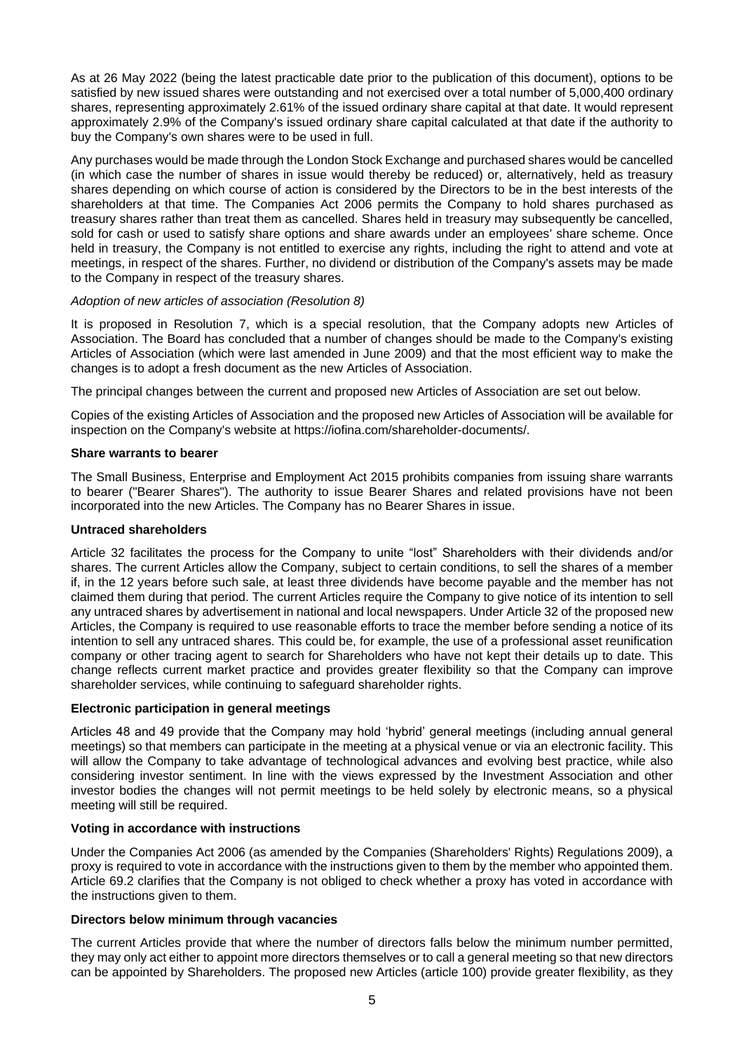As at 26 May 2022 (being the latest practicable date prior to the publication of this document), options to be satisfied by new issued shares were outstanding and not exercised over a total number of 5,000,400 ordinary shares, representing approximately 2.61% of the issued ordinary share capital at that date. It would represent approximately 2.9% of the Company's issued ordinary share capital calculated at that date if the authority to buy the Company's own shares were to be used in full.

Any purchases would be made through the London Stock Exchange and purchased shares would be cancelled (in which case the number of shares in issue would thereby be reduced) or, alternatively, held as treasury shares depending on which course of action is considered by the Directors to be in the best interests of the shareholders at that time. The Companies Act 2006 permits the Company to hold shares purchased as treasury shares rather than treat them as cancelled. Shares held in treasury may subsequently be cancelled, sold for cash or used to satisfy share options and share awards under an employees' share scheme. Once held in treasury, the Company is not entitled to exercise any rights, including the right to attend and vote at meetings, in respect of the shares. Further, no dividend or distribution of the Company's assets may be made to the Company in respect of the treasury shares.

# *Adoption of new articles of association (Resolution 8)*

It is proposed in Resolution 7, which is a special resolution, that the Company adopts new Articles of Association. The Board has concluded that a number of changes should be made to the Company's existing Articles of Association (which were last amended in June 2009) and that the most efficient way to make the changes is to adopt a fresh document as the new Articles of Association.

The principal changes between the current and proposed new Articles of Association are set out below.

Copies of the existing Articles of Association and the proposed new Articles of Association will be available for inspection on the Company's website at [https://iofina.com/shareholder-documents/.](https://iofina.com/shareholder-documents/)

## **Share warrants to bearer**

The Small Business, Enterprise and Employment Act 2015 prohibits companies from issuing share warrants to bearer ("Bearer Shares"). The authority to issue Bearer Shares and related provisions have not been incorporated into the new Articles. The Company has no Bearer Shares in issue.

# **Untraced shareholders**

Article 32 facilitates the process for the Company to unite "lost" Shareholders with their dividends and/or shares. The current Articles allow the Company, subject to certain conditions, to sell the shares of a member if, in the 12 years before such sale, at least three dividends have become payable and the member has not claimed them during that period. The current Articles require the Company to give notice of its intention to sell any untraced shares by advertisement in national and local newspapers. Under Article 32 of the proposed new Articles, the Company is required to use reasonable efforts to trace the member before sending a notice of its intention to sell any untraced shares. This could be, for example, the use of a professional asset reunification company or other tracing agent to search for Shareholders who have not kept their details up to date. This change reflects current market practice and provides greater flexibility so that the Company can improve shareholder services, while continuing to safeguard shareholder rights.

# **Electronic participation in general meetings**

Articles 48 and 49 provide that the Company may hold 'hybrid' general meetings (including annual general meetings) so that members can participate in the meeting at a physical venue or via an electronic facility. This will allow the Company to take advantage of technological advances and evolving best practice, while also considering investor sentiment. In line with the views expressed by the Investment Association and other investor bodies the changes will not permit meetings to be held solely by electronic means, so a physical meeting will still be required.

# **Voting in accordance with instructions**

Under the Companies Act 2006 (as amended by the Companies (Shareholders' Rights) Regulations 2009), a proxy is required to vote in accordance with the instructions given to them by the member who appointed them. Article 69.2 clarifies that the Company is not obliged to check whether a proxy has voted in accordance with the instructions given to them.

## **Directors below minimum through vacancies**

The current Articles provide that where the number of directors falls below the minimum number permitted, they may only act either to appoint more directors themselves or to call a general meeting so that new directors can be appointed by Shareholders. The proposed new Articles (article 100) provide greater flexibility, as they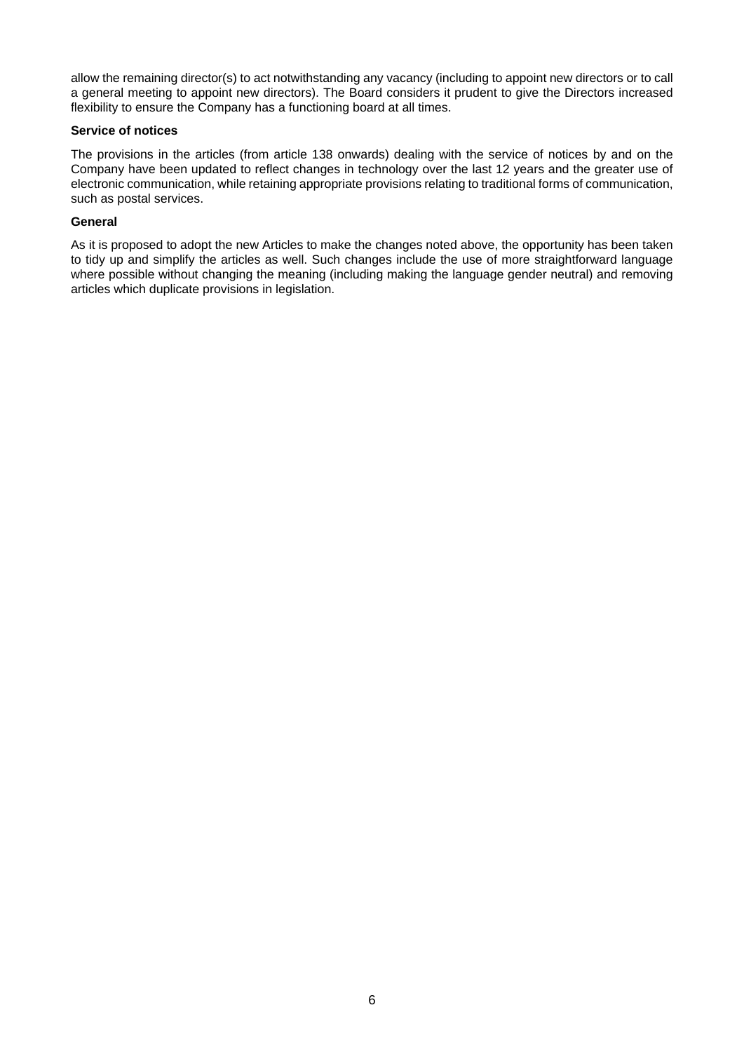allow the remaining director(s) to act notwithstanding any vacancy (including to appoint new directors or to call a general meeting to appoint new directors). The Board considers it prudent to give the Directors increased flexibility to ensure the Company has a functioning board at all times.

# **Service of notices**

The provisions in the articles (from article 138 onwards) dealing with the service of notices by and on the Company have been updated to reflect changes in technology over the last 12 years and the greater use of electronic communication, while retaining appropriate provisions relating to traditional forms of communication, such as postal services.

## **General**

As it is proposed to adopt the new Articles to make the changes noted above, the opportunity has been taken to tidy up and simplify the articles as well. Such changes include the use of more straightforward language where possible without changing the meaning (including making the language gender neutral) and removing articles which duplicate provisions in legislation.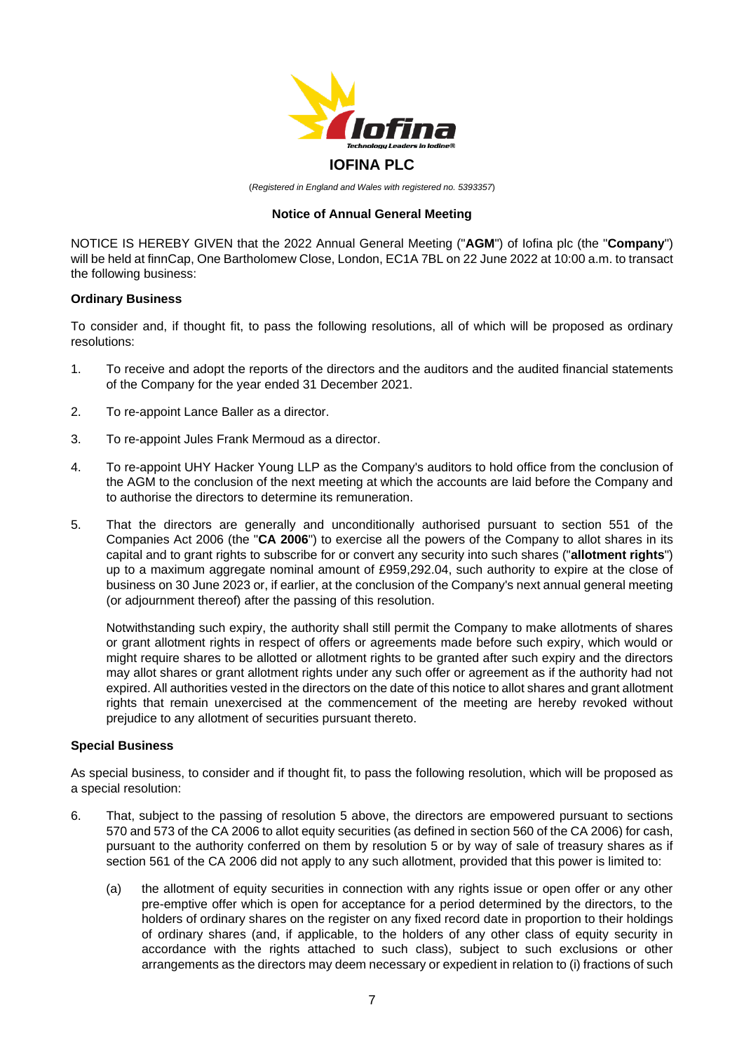

# **IOFINA PLC**

(*Registered in England and Wales with registered no. 5393357*)

# **Notice of Annual General Meeting**

NOTICE IS HEREBY GIVEN that the 2022 Annual General Meeting ("**AGM**") of Iofina plc (the "**Company**") will be held at finnCap, One Bartholomew Close, London, EC1A 7BL on 22 June 2022 at 10:00 a.m. to transact the following business:

## **Ordinary Business**

To consider and, if thought fit, to pass the following resolutions, all of which will be proposed as ordinary resolutions:

- 1. To receive and adopt the reports of the directors and the auditors and the audited financial statements of the Company for the year ended 31 December 2021.
- 2. To re-appoint Lance Baller as a director.
- 3. To re-appoint Jules Frank Mermoud as a director.
- 4. To re-appoint UHY Hacker Young LLP as the Company's auditors to hold office from the conclusion of the AGM to the conclusion of the next meeting at which the accounts are laid before the Company and to authorise the directors to determine its remuneration.
- 5. That the directors are generally and unconditionally authorised pursuant to section 551 of the Companies Act 2006 (the "**CA 2006**") to exercise all the powers of the Company to allot shares in its capital and to grant rights to subscribe for or convert any security into such shares ("**allotment rights**") up to a maximum aggregate nominal amount of £959,292.04, such authority to expire at the close of business on 30 June 2023 or, if earlier, at the conclusion of the Company's next annual general meeting (or adjournment thereof) after the passing of this resolution.

Notwithstanding such expiry, the authority shall still permit the Company to make allotments of shares or grant allotment rights in respect of offers or agreements made before such expiry, which would or might require shares to be allotted or allotment rights to be granted after such expiry and the directors may allot shares or grant allotment rights under any such offer or agreement as if the authority had not expired. All authorities vested in the directors on the date of this notice to allot shares and grant allotment rights that remain unexercised at the commencement of the meeting are hereby revoked without prejudice to any allotment of securities pursuant thereto.

## **Special Business**

As special business, to consider and if thought fit, to pass the following resolution, which will be proposed as a special resolution:

- 6. That, subject to the passing of resolution 5 above, the directors are empowered pursuant to sections 570 and 573 of the CA 2006 to allot equity securities (as defined in section 560 of the CA 2006) for cash, pursuant to the authority conferred on them by resolution 5 or by way of sale of treasury shares as if section 561 of the CA 2006 did not apply to any such allotment, provided that this power is limited to:
	- (a) the allotment of equity securities in connection with any rights issue or open offer or any other pre-emptive offer which is open for acceptance for a period determined by the directors, to the holders of ordinary shares on the register on any fixed record date in proportion to their holdings of ordinary shares (and, if applicable, to the holders of any other class of equity security in accordance with the rights attached to such class), subject to such exclusions or other arrangements as the directors may deem necessary or expedient in relation to (i) fractions of such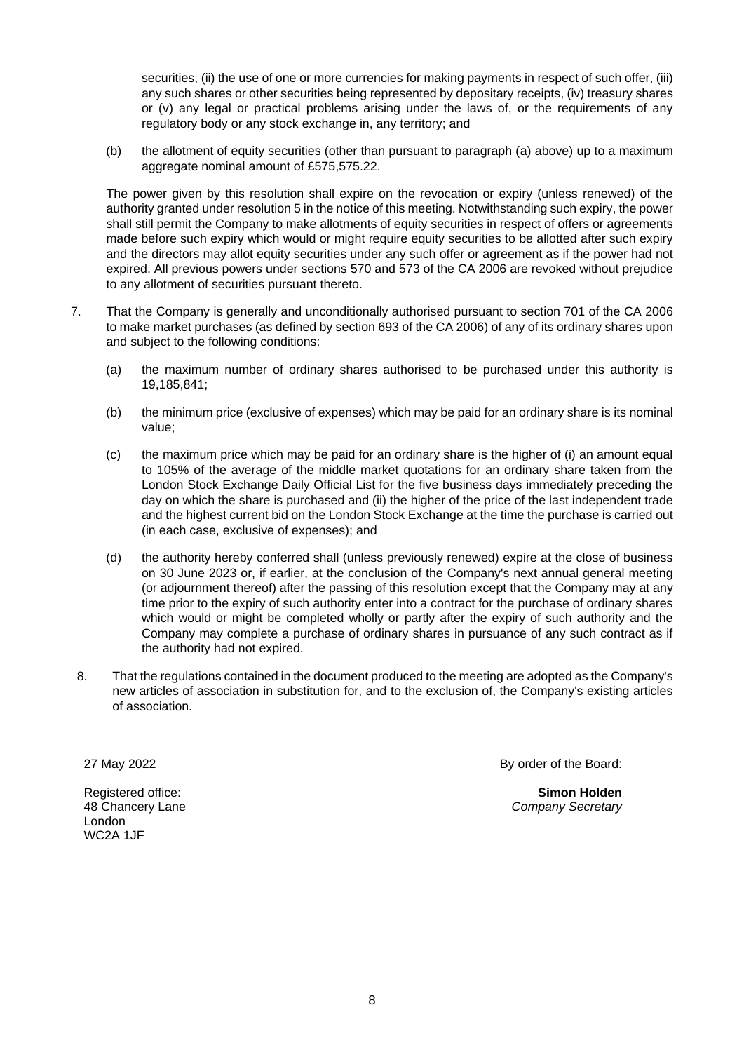securities, (ii) the use of one or more currencies for making payments in respect of such offer, (iii) any such shares or other securities being represented by depositary receipts, (iv) treasury shares or (v) any legal or practical problems arising under the laws of, or the requirements of any regulatory body or any stock exchange in, any territory; and

(b) the allotment of equity securities (other than pursuant to paragraph (a) above) up to a maximum aggregate nominal amount of £575,575.22.

The power given by this resolution shall expire on the revocation or expiry (unless renewed) of the authority granted under resolution 5 in the notice of this meeting. Notwithstanding such expiry, the power shall still permit the Company to make allotments of equity securities in respect of offers or agreements made before such expiry which would or might require equity securities to be allotted after such expiry and the directors may allot equity securities under any such offer or agreement as if the power had not expired. All previous powers under sections 570 and 573 of the CA 2006 are revoked without prejudice to any allotment of securities pursuant thereto.

- 7. That the Company is generally and unconditionally authorised pursuant to section 701 of the CA 2006 to make market purchases (as defined by section 693 of the CA 2006) of any of its ordinary shares upon and subject to the following conditions:
	- (a) the maximum number of ordinary shares authorised to be purchased under this authority is 19,185,841;
	- (b) the minimum price (exclusive of expenses) which may be paid for an ordinary share is its nominal value;
	- (c) the maximum price which may be paid for an ordinary share is the higher of (i) an amount equal to 105% of the average of the middle market quotations for an ordinary share taken from the London Stock Exchange Daily Official List for the five business days immediately preceding the day on which the share is purchased and (ii) the higher of the price of the last independent trade and the highest current bid on the London Stock Exchange at the time the purchase is carried out (in each case, exclusive of expenses); and
	- (d) the authority hereby conferred shall (unless previously renewed) expire at the close of business on 30 June 2023 or, if earlier, at the conclusion of the Company's next annual general meeting (or adjournment thereof) after the passing of this resolution except that the Company may at any time prior to the expiry of such authority enter into a contract for the purchase of ordinary shares which would or might be completed wholly or partly after the expiry of such authority and the Company may complete a purchase of ordinary shares in pursuance of any such contract as if the authority had not expired.
- 8. That the regulations contained in the document produced to the meeting are adopted as the Company's new articles of association in substitution for, and to the exclusion of, the Company's existing articles of association.

27 May 2022

Registered office: 48 Chancery Lane London WC2A 1JF

By order of the Board:

**Simon Holden** *Company Secretary*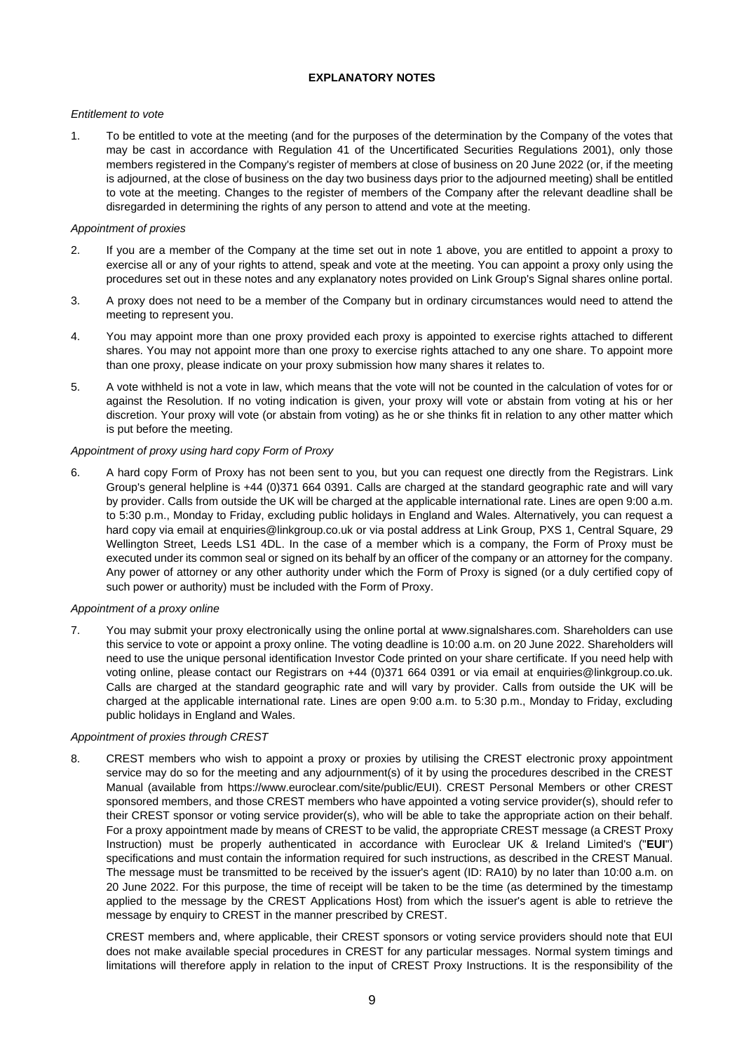### **EXPLANATORY NOTES**

#### *Entitlement to vote*

1. To be entitled to vote at the meeting (and for the purposes of the determination by the Company of the votes that may be cast in accordance with Regulation 41 of the Uncertificated Securities Regulations 2001), only those members registered in the Company's register of members at close of business on 20 June 2022 (or, if the meeting is adjourned, at the close of business on the day two business days prior to the adjourned meeting) shall be entitled to vote at the meeting. Changes to the register of members of the Company after the relevant deadline shall be disregarded in determining the rights of any person to attend and vote at the meeting.

### *Appointment of proxies*

- 2. If you are a member of the Company at the time set out in note 1 above, you are entitled to appoint a proxy to exercise all or any of your rights to attend, speak and vote at the meeting. You can appoint a proxy only using the procedures set out in these notes and any explanatory notes provided on Link Group's Signal shares online portal.
- 3. A proxy does not need to be a member of the Company but in ordinary circumstances would need to attend the meeting to represent you.
- 4. You may appoint more than one proxy provided each proxy is appointed to exercise rights attached to different shares. You may not appoint more than one proxy to exercise rights attached to any one share. To appoint more than one proxy, please indicate on your proxy submission how many shares it relates to.
- 5. A vote withheld is not a vote in law, which means that the vote will not be counted in the calculation of votes for or against the Resolution. If no voting indication is given, your proxy will vote or abstain from voting at his or her discretion. Your proxy will vote (or abstain from voting) as he or she thinks fit in relation to any other matter which is put before the meeting.

## *Appointment of proxy using hard copy Form of Proxy*

6. A hard copy Form of Proxy has not been sent to you, but you can request one directly from the Registrars. Link Group's general helpline is +44 (0)371 664 0391. Calls are charged at the standard geographic rate and will vary by provider. Calls from outside the UK will be charged at the applicable international rate. Lines are open 9:00 a.m. to 5:30 p.m., Monday to Friday, excluding public holidays in England and Wales. Alternatively, you can request a hard copy via email at enquiries@linkgroup.co.uk or via postal address at Link Group, PXS 1, Central Square, 29 Wellington Street, Leeds LS1 4DL. In the case of a member which is a company, the Form of Proxy must be executed under its common seal or signed on its behalf by an officer of the company or an attorney for the company. Any power of attorney or any other authority under which the Form of Proxy is signed (or a duly certified copy of such power or authority) must be included with the Form of Proxy.

#### *Appointment of a proxy online*

7. You may submit your proxy electronically using the online portal at [www.signalshares.com.](https://www.signalshares.com/) Shareholders can use this service to vote or appoint a proxy online. The voting deadline is 10:00 a.m. on 20 June 2022. Shareholders will need to use the unique personal identification Investor Code printed on your share certificate. If you need help with voting online, please contact our Registrars on +44 (0)371 664 0391 or via email at enquiries@linkgroup.co.uk. Calls are charged at the standard geographic rate and will vary by provider. Calls from outside the UK will be charged at the applicable international rate. Lines are open 9:00 a.m. to 5:30 p.m., Monday to Friday, excluding public holidays in England and Wales.

### *Appointment of proxies through CREST*

8. CREST members who wish to appoint a proxy or proxies by utilising the CREST electronic proxy appointment service may do so for the meeting and any adjournment(s) of it by using the procedures described in the CREST Manual (available from [https://www.euroclear.com/site/public/EUI\)](https://my.euroclear.com/eui/en/reference/public/legal-information/crest-manual.html). CREST Personal Members or other CREST sponsored members, and those CREST members who have appointed a voting service provider(s), should refer to their CREST sponsor or voting service provider(s), who will be able to take the appropriate action on their behalf. For a proxy appointment made by means of CREST to be valid, the appropriate CREST message (a CREST Proxy Instruction) must be properly authenticated in accordance with Euroclear UK & Ireland Limited's ("**EUI**") specifications and must contain the information required for such instructions, as described in the CREST Manual. The message must be transmitted to be received by the issuer's agent (ID: RA10) by no later than 10:00 a.m. on 20 June 2022. For this purpose, the time of receipt will be taken to be the time (as determined by the timestamp applied to the message by the CREST Applications Host) from which the issuer's agent is able to retrieve the message by enquiry to CREST in the manner prescribed by CREST.

CREST members and, where applicable, their CREST sponsors or voting service providers should note that EUI does not make available special procedures in CREST for any particular messages. Normal system timings and limitations will therefore apply in relation to the input of CREST Proxy Instructions. It is the responsibility of the